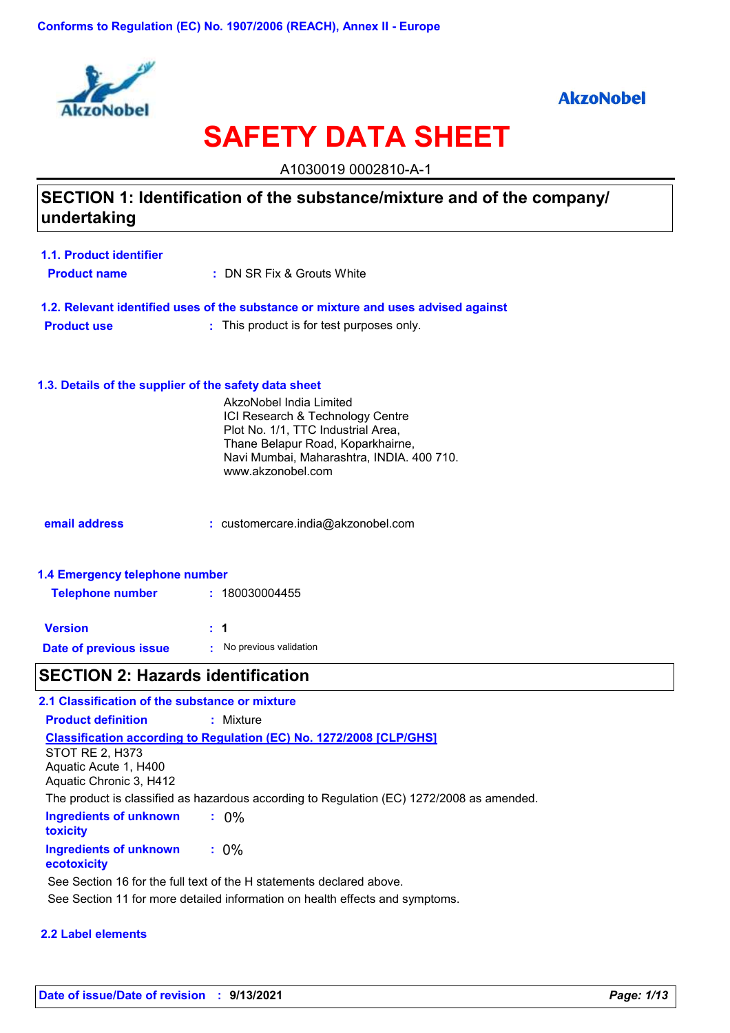

# **AkzoNobel**

# **SAFETY DATA SHEET**

A1030019 0002810-A-1

# **SECTION 1: Identification of the substance/mixture and of the company/ undertaking**

| 1.1. Product identifier |                            |
|-------------------------|----------------------------|
| <b>Product name</b>     | : DN SR Fix & Grouts White |

**1.2. Relevant identified uses of the substance or mixture and uses advised against Product use :** : This product is for test purposes only.

## **1.3. Details of the supplier of the safety data sheet**

|                                | AkzoNobel India Limited<br>ICI Research & Technology Centre<br>Plot No. 1/1, TTC Industrial Area,<br>Thane Belapur Road, Koparkhairne,<br>Navi Mumbai, Maharashtra, INDIA. 400 710.<br>www.akzonobel.com |
|--------------------------------|----------------------------------------------------------------------------------------------------------------------------------------------------------------------------------------------------------|
| email address                  | $:$ customercare.india@akzonobel.com                                                                                                                                                                     |
| 1.4 Emergency telephone number |                                                                                                                                                                                                          |

| <b>Telephone number</b> | : 180030004455           |
|-------------------------|--------------------------|
| <b>Version</b>          | : 1                      |
| Date of previous issue  | • No previous validation |

# **SECTION 2: Hazards identification**

| 2.1 Classification of the substance or mixture                      |                                                                                           |
|---------------------------------------------------------------------|-------------------------------------------------------------------------------------------|
| <b>Product definition</b>                                           | : Mixture                                                                                 |
| STOT RE 2, H373<br>Aquatic Acute 1, H400<br>Aquatic Chronic 3, H412 | <b>Classification according to Regulation (EC) No. 1272/2008 [CLP/GHS]</b>                |
|                                                                     | The product is classified as hazardous according to Regulation (EC) 1272/2008 as amended. |
| Ingredients of unknown<br><b>toxicity</b>                           | $: 0\%$                                                                                   |
| Ingredients of unknown<br>ecotoxicity                               | $: 0\%$                                                                                   |
|                                                                     | See Section 16 for the full text of the H statements declared above.                      |
|                                                                     | See Section 11 for more detailed information on health effects and symptoms.              |

## **2.2 Label elements**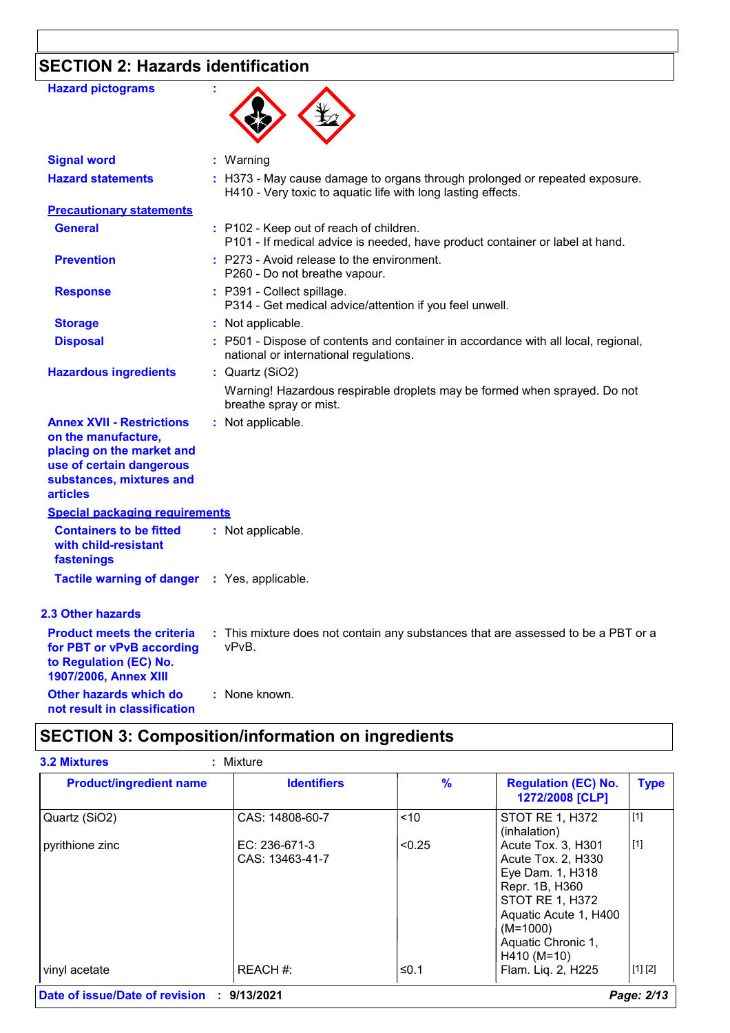# **SECTION 2: Hazards identification**

| <b>Hazard pictograms</b>                                                                                                                                        | ÷                                                                                                                                           |
|-----------------------------------------------------------------------------------------------------------------------------------------------------------------|---------------------------------------------------------------------------------------------------------------------------------------------|
| <b>Signal word</b>                                                                                                                                              | : Warning                                                                                                                                   |
| <b>Hazard statements</b>                                                                                                                                        | : H373 - May cause damage to organs through prolonged or repeated exposure.<br>H410 - Very toxic to aquatic life with long lasting effects. |
| <b>Precautionary statements</b>                                                                                                                                 |                                                                                                                                             |
| <b>General</b>                                                                                                                                                  | : P102 - Keep out of reach of children.<br>P101 - If medical advice is needed, have product container or label at hand.                     |
| <b>Prevention</b>                                                                                                                                               | : P273 - Avoid release to the environment.<br>P260 - Do not breathe vapour.                                                                 |
| <b>Response</b>                                                                                                                                                 | : P391 - Collect spillage.<br>P314 - Get medical advice/attention if you feel unwell.                                                       |
| <b>Storage</b>                                                                                                                                                  | : Not applicable.                                                                                                                           |
| <b>Disposal</b>                                                                                                                                                 | : P501 - Dispose of contents and container in accordance with all local, regional,<br>national or international regulations.                |
| <b>Hazardous ingredients</b>                                                                                                                                    | : Quartz (SiO2)                                                                                                                             |
|                                                                                                                                                                 | Warning! Hazardous respirable droplets may be formed when sprayed. Do not<br>breathe spray or mist.                                         |
| <b>Annex XVII - Restrictions</b><br>on the manufacture,<br>placing on the market and<br>use of certain dangerous<br>substances, mixtures and<br><b>articles</b> | : Not applicable.                                                                                                                           |
| <b>Special packaging requirements</b>                                                                                                                           |                                                                                                                                             |
| <b>Containers to be fitted</b><br>with child-resistant<br>fastenings                                                                                            | : Not applicable.                                                                                                                           |
| <b>Tactile warning of danger</b>                                                                                                                                | : Yes, applicable.                                                                                                                          |
| 2.3 Other hazards                                                                                                                                               |                                                                                                                                             |
| <b>Product meets the criteria</b><br>for PBT or vPvB according<br>to Regulation (EC) No.<br>1907/2006, Annex XIII                                               | : This mixture does not contain any substances that are assessed to be a PBT or a<br>vPvB.                                                  |
| Other hazards which do<br>not result in classification                                                                                                          | : None known.                                                                                                                               |

# **SECTION 3: Composition/information on ingredients**

| <b>Product/ingredient name</b> | <b>Identifiers</b>               | $\frac{9}{6}$ | <b>Regulation (EC) No.</b><br>1272/2008 [CLP]                                                                                                                                 | <b>Type</b> |
|--------------------------------|----------------------------------|---------------|-------------------------------------------------------------------------------------------------------------------------------------------------------------------------------|-------------|
| Quartz (SiO2)                  | CAS: 14808-60-7                  | < 10          | <b>STOT RE 1, H372</b><br>(inhalation)                                                                                                                                        | $[1]$       |
| pyrithione zinc                | EC: 236-671-3<br>CAS: 13463-41-7 | < 0.25        | Acute Tox. 3, H301<br>Acute Tox. 2, H330<br>Eye Dam. 1, H318<br>Repr. 1B, H360<br>STOT RE 1, H372<br>Aquatic Acute 1, H400<br>$(M=1000)$<br>Aquatic Chronic 1,<br>H410 (M=10) | $[1]$       |
| vinyl acetate                  | REACH #:                         | ≤0.1          | Flam. Liq. 2, H225                                                                                                                                                            | [1] [2]     |

**Date of issue/Date of revision : 9/13/2021** *Page: 2/13*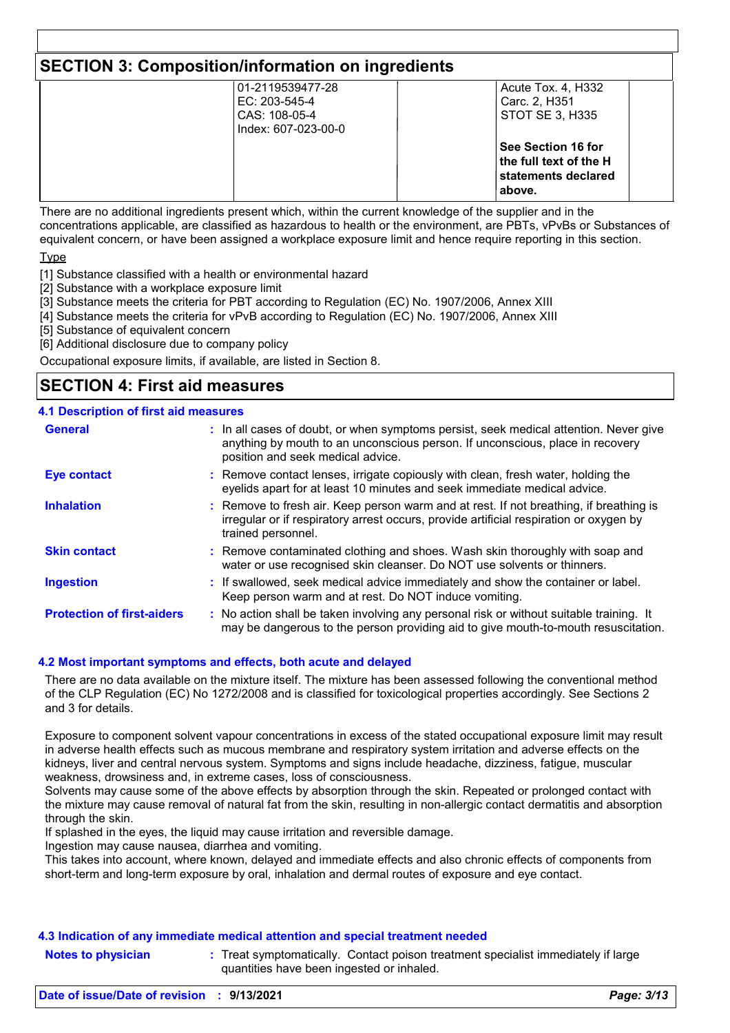# **SECTION 3: Composition/information on ingredients**

| 01-2119539477-28    | Acute Tox. 4, H332     |  |
|---------------------|------------------------|--|
| EC: 203-545-4       | Carc. 2, H351          |  |
| CAS: 108-05-4       | STOT SE 3, H335        |  |
| Index: 607-023-00-0 |                        |  |
|                     | ∣See Section 16 for    |  |
|                     | the full text of the H |  |
|                     | statements declared    |  |
|                     | above.                 |  |
|                     |                        |  |

There are no additional ingredients present which, within the current knowledge of the supplier and in the concentrations applicable, are classified as hazardous to health or the environment, are PBTs, vPvBs or Substances of equivalent concern, or have been assigned a workplace exposure limit and hence require reporting in this section.

**Type** 

[1] Substance classified with a health or environmental hazard

[2] Substance with a workplace exposure limit

[3] Substance meets the criteria for PBT according to Regulation (EC) No. 1907/2006, Annex XIII

[4] Substance meets the criteria for vPvB according to Regulation (EC) No. 1907/2006, Annex XIII

[5] Substance of equivalent concern

[6] Additional disclosure due to company policy

Occupational exposure limits, if available, are listed in Section 8.

# **SECTION 4: First aid measures**

## **4.1 Description of first aid measures**

| <b>General</b>                    | : In all cases of doubt, or when symptoms persist, seek medical attention. Never give<br>anything by mouth to an unconscious person. If unconscious, place in recovery<br>position and seek medical advice. |
|-----------------------------------|-------------------------------------------------------------------------------------------------------------------------------------------------------------------------------------------------------------|
| <b>Eye contact</b>                | : Remove contact lenses, irrigate copiously with clean, fresh water, holding the<br>eyelids apart for at least 10 minutes and seek immediate medical advice.                                                |
| <b>Inhalation</b>                 | : Remove to fresh air. Keep person warm and at rest. If not breathing, if breathing is<br>irregular or if respiratory arrest occurs, provide artificial respiration or oxygen by<br>trained personnel.      |
| <b>Skin contact</b>               | : Remove contaminated clothing and shoes. Wash skin thoroughly with soap and<br>water or use recognised skin cleanser. Do NOT use solvents or thinners.                                                     |
| <b>Ingestion</b>                  | : If swallowed, seek medical advice immediately and show the container or label.<br>Keep person warm and at rest. Do NOT induce vomiting.                                                                   |
| <b>Protection of first-aiders</b> | : No action shall be taken involving any personal risk or without suitable training. It<br>may be dangerous to the person providing aid to give mouth-to-mouth resuscitation.                               |

## **4.2 Most important symptoms and effects, both acute and delayed**

There are no data available on the mixture itself. The mixture has been assessed following the conventional method of the CLP Regulation (EC) No 1272/2008 and is classified for toxicological properties accordingly. See Sections 2 and 3 for details.

Exposure to component solvent vapour concentrations in excess of the stated occupational exposure limit may result in adverse health effects such as mucous membrane and respiratory system irritation and adverse effects on the kidneys, liver and central nervous system. Symptoms and signs include headache, dizziness, fatigue, muscular weakness, drowsiness and, in extreme cases, loss of consciousness.

Solvents may cause some of the above effects by absorption through the skin. Repeated or prolonged contact with the mixture may cause removal of natural fat from the skin, resulting in non-allergic contact dermatitis and absorption through the skin.

If splashed in the eyes, the liquid may cause irritation and reversible damage.

Ingestion may cause nausea, diarrhea and vomiting.

This takes into account, where known, delayed and immediate effects and also chronic effects of components from short-term and long-term exposure by oral, inhalation and dermal routes of exposure and eye contact.

#### **4.3 Indication of any immediate medical attention and special treatment needed**

**Notes to physician Treat symptomatically. Contact poison treatment specialist immediately if large** quantities have been ingested or inhaled.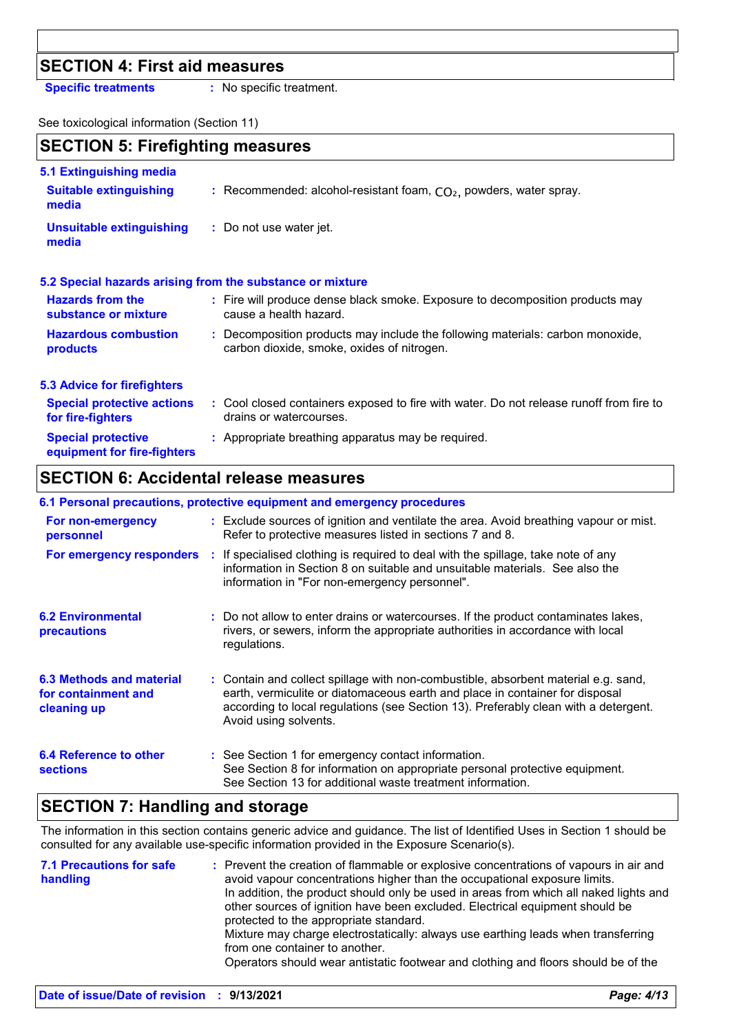# **SECTION 4: First aid measures**

**Specific treatments :** No specific treatment.

See toxicological information (Section 11)

# **SECTION 5: Firefighting measures**

| 5.1 Extinguishing media                                  |                                                                                                                              |
|----------------------------------------------------------|------------------------------------------------------------------------------------------------------------------------------|
| <b>Suitable extinguishing</b><br>media                   | : Recommended: alcohol-resistant foam, $CO2$ , powders, water spray.                                                         |
| <b>Unsuitable extinguishing</b><br>media                 | : Do not use water jet.                                                                                                      |
|                                                          | 5.2 Special hazards arising from the substance or mixture                                                                    |
| <b>Hazards from the</b><br>substance or mixture          | : Fire will produce dense black smoke. Exposure to decomposition products may<br>cause a health hazard.                      |
| <b>Hazardous combustion</b><br>products                  | : Decomposition products may include the following materials: carbon monoxide,<br>carbon dioxide, smoke, oxides of nitrogen. |
| <b>5.3 Advice for firefighters</b>                       |                                                                                                                              |
| <b>Special protective actions</b><br>for fire-fighters   | : Cool closed containers exposed to fire with water. Do not release runoff from fire to<br>drains or watercourses.           |
| <b>Special protective</b><br>equipment for fire-fighters | : Appropriate breathing apparatus may be required.                                                                           |

# **SECTION 6: Accidental release measures**

## **6.1 Personal precautions, protective equipment and emergency procedures**

| For non-emergency<br>personnel                                 | : Exclude sources of ignition and ventilate the area. Avoid breathing vapour or mist.<br>Refer to protective measures listed in sections 7 and 8.                                                                                                                                  |
|----------------------------------------------------------------|------------------------------------------------------------------------------------------------------------------------------------------------------------------------------------------------------------------------------------------------------------------------------------|
| For emergency responders                                       | : If specialised clothing is required to deal with the spillage, take note of any<br>information in Section 8 on suitable and unsuitable materials. See also the<br>information in "For non-emergency personnel".                                                                  |
| <b>6.2 Environmental</b><br>precautions                        | : Do not allow to enter drains or watercourses. If the product contaminates lakes,<br>rivers, or sewers, inform the appropriate authorities in accordance with local<br>regulations.                                                                                               |
| 6.3 Methods and material<br>for containment and<br>cleaning up | : Contain and collect spillage with non-combustible, absorbent material e.g. sand,<br>earth, vermiculite or diatomaceous earth and place in container for disposal<br>according to local regulations (see Section 13). Preferably clean with a detergent.<br>Avoid using solvents. |
| 6.4 Reference to other<br><b>sections</b>                      | : See Section 1 for emergency contact information.<br>See Section 8 for information on appropriate personal protective equipment.<br>See Section 13 for additional waste treatment information.                                                                                    |

# **SECTION 7: Handling and storage**

The information in this section contains generic advice and guidance. The list of Identified Uses in Section 1 should be consulted for any available use-specific information provided in the Exposure Scenario(s).

| <b>7.1 Precautions for safe</b><br>handling | : Prevent the creation of flammable or explosive concentrations of vapours in air and<br>avoid vapour concentrations higher than the occupational exposure limits.<br>In addition, the product should only be used in areas from which all naked lights and<br>other sources of ignition have been excluded. Electrical equipment should be<br>protected to the appropriate standard.<br>Mixture may charge electrostatically: always use earthing leads when transferring<br>from one container to another.<br>Operators should wear antistatic footwear and clothing and floors should be of the |
|---------------------------------------------|----------------------------------------------------------------------------------------------------------------------------------------------------------------------------------------------------------------------------------------------------------------------------------------------------------------------------------------------------------------------------------------------------------------------------------------------------------------------------------------------------------------------------------------------------------------------------------------------------|
|                                             |                                                                                                                                                                                                                                                                                                                                                                                                                                                                                                                                                                                                    |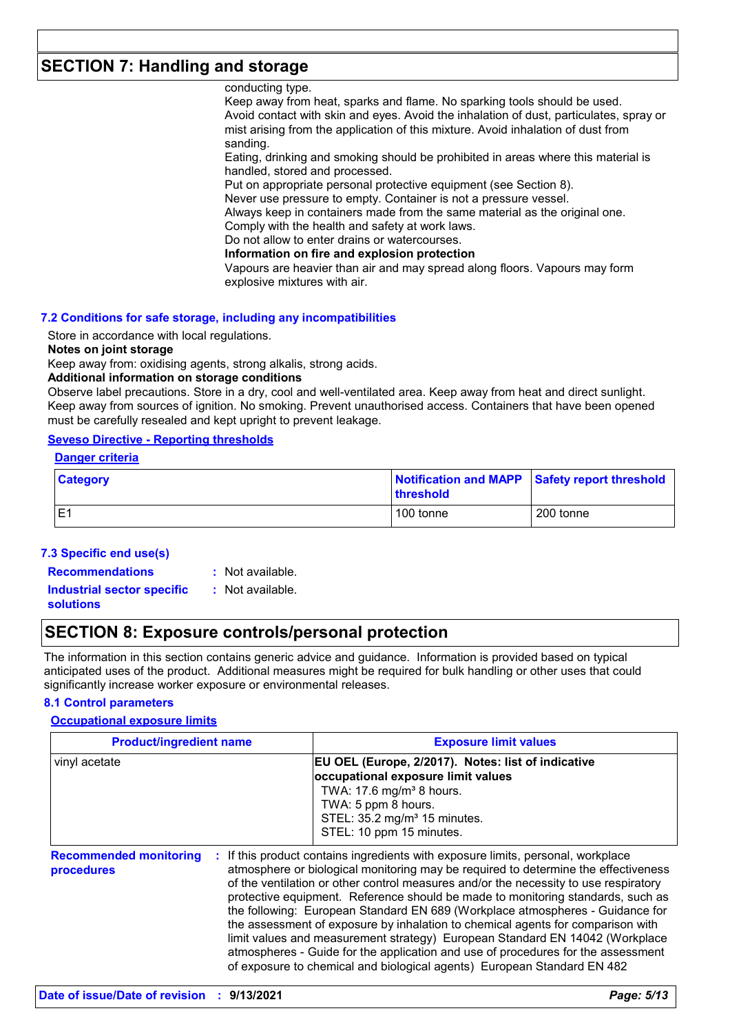# **SECTION 7: Handling and storage**

conducting type.

Keep away from heat, sparks and flame. No sparking tools should be used. Avoid contact with skin and eyes. Avoid the inhalation of dust, particulates, spray or mist arising from the application of this mixture. Avoid inhalation of dust from sanding.

Eating, drinking and smoking should be prohibited in areas where this material is handled, stored and processed.

Put on appropriate personal protective equipment (see Section 8).

Never use pressure to empty. Container is not a pressure vessel.

Always keep in containers made from the same material as the original one.

Comply with the health and safety at work laws.

Do not allow to enter drains or watercourses.

**Information on fire and explosion protection**

Vapours are heavier than air and may spread along floors. Vapours may form explosive mixtures with air.

#### **7.2 Conditions for safe storage, including any incompatibilities**

Store in accordance with local regulations.

**Notes on joint storage**

Keep away from: oxidising agents, strong alkalis, strong acids.

#### **Additional information on storage conditions**

Observe label precautions. Store in a dry, cool and well-ventilated area. Keep away from heat and direct sunlight. Keep away from sources of ignition. No smoking. Prevent unauthorised access. Containers that have been opened must be carefully resealed and kept upright to prevent leakage.

## **Seveso Directive - Reporting thresholds**

#### **Danger criteria**

| <b>Category</b> | <b>threshold</b> | Notification and MAPP Safety report threshold |
|-----------------|------------------|-----------------------------------------------|
| E               | 100 tonne        | l 200 tonne                                   |

#### **7.3 Specific end use(s)**

- **Recommendations :**
	- : Not available. : Not available.

**Industrial sector specific : solutions**

# **SECTION 8: Exposure controls/personal protection**

The information in this section contains generic advice and guidance. Information is provided based on typical anticipated uses of the product. Additional measures might be required for bulk handling or other uses that could significantly increase worker exposure or environmental releases.

#### **8.1 Control parameters**

## **Occupational exposure limits**

| <b>Product/ingredient name</b>              | <b>Exposure limit values</b>                                                                                                                                                                                                                                                                                                                                                                                                                                                                                                                                                                                                                                                                                                                                       |
|---------------------------------------------|--------------------------------------------------------------------------------------------------------------------------------------------------------------------------------------------------------------------------------------------------------------------------------------------------------------------------------------------------------------------------------------------------------------------------------------------------------------------------------------------------------------------------------------------------------------------------------------------------------------------------------------------------------------------------------------------------------------------------------------------------------------------|
| vinyl acetate                               | EU OEL (Europe, 2/2017). Notes: list of indicative<br>occupational exposure limit values<br>TWA: 17.6 mg/m <sup>3</sup> 8 hours.<br>TWA: 5 ppm 8 hours.<br>STEL: 35.2 mg/m <sup>3</sup> 15 minutes.<br>STEL: 10 ppm 15 minutes.                                                                                                                                                                                                                                                                                                                                                                                                                                                                                                                                    |
| <b>Recommended monitoring</b><br>procedures | If this product contains ingredients with exposure limits, personal, workplace<br>atmosphere or biological monitoring may be required to determine the effectiveness<br>of the ventilation or other control measures and/or the necessity to use respiratory<br>protective equipment. Reference should be made to monitoring standards, such as<br>the following: European Standard EN 689 (Workplace atmospheres - Guidance for<br>the assessment of exposure by inhalation to chemical agents for comparison with<br>limit values and measurement strategy) European Standard EN 14042 (Workplace<br>atmospheres - Guide for the application and use of procedures for the assessment<br>of exposure to chemical and biological agents) European Standard EN 482 |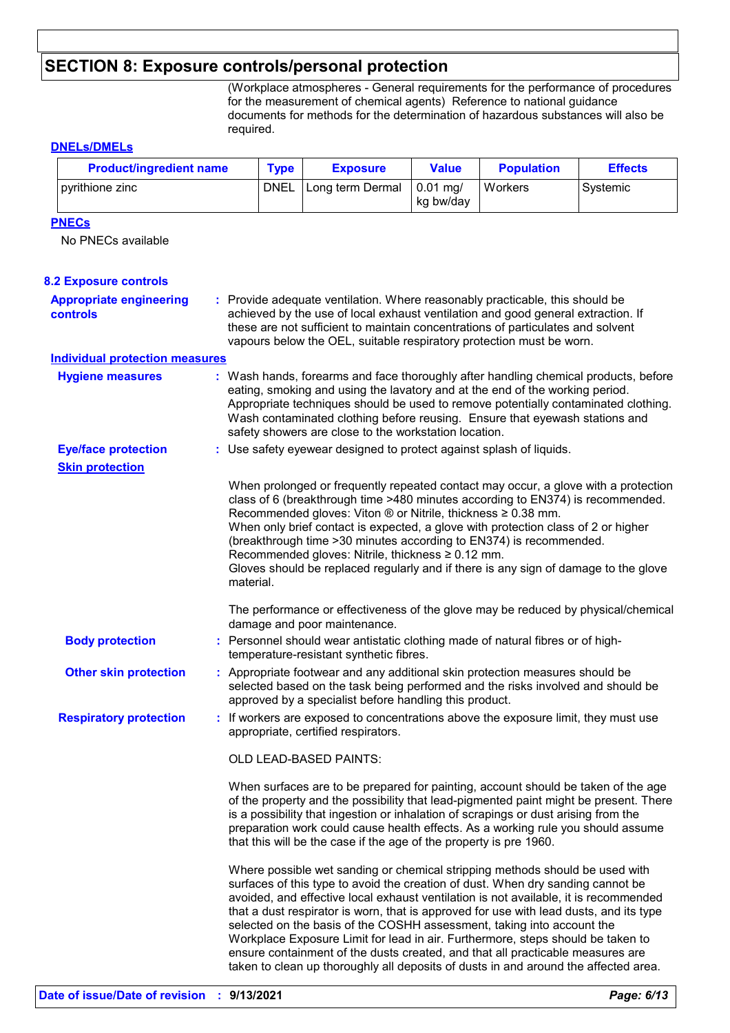# **SECTION 8: Exposure controls/personal protection**

(Workplace atmospheres - General requirements for the performance of procedures for the measurement of chemical agents) Reference to national guidance documents for methods for the determination of hazardous substances will also be required.

## **DNELs/DMELs**

| <b>Product/ingredient name</b>                    |           | <b>Type</b><br><b>Exposure</b>                                                                                                                                                                                            | <b>Value</b>                                                                                                                                                                                                                                                                                                                                                                                                                                                                                                                                                                                                                                                                            | <b>Population</b>       | <b>Effects</b> |          |
|---------------------------------------------------|-----------|---------------------------------------------------------------------------------------------------------------------------------------------------------------------------------------------------------------------------|-----------------------------------------------------------------------------------------------------------------------------------------------------------------------------------------------------------------------------------------------------------------------------------------------------------------------------------------------------------------------------------------------------------------------------------------------------------------------------------------------------------------------------------------------------------------------------------------------------------------------------------------------------------------------------------------|-------------------------|----------------|----------|
| pyrithione zinc                                   |           | <b>DNEL</b>                                                                                                                                                                                                               | Long term Dermal                                                                                                                                                                                                                                                                                                                                                                                                                                                                                                                                                                                                                                                                        | $0.01$ mg/<br>kg bw/day | Workers        | Systemic |
| <b>PNECs</b>                                      |           |                                                                                                                                                                                                                           |                                                                                                                                                                                                                                                                                                                                                                                                                                                                                                                                                                                                                                                                                         |                         |                |          |
| No PNECs available                                |           |                                                                                                                                                                                                                           |                                                                                                                                                                                                                                                                                                                                                                                                                                                                                                                                                                                                                                                                                         |                         |                |          |
|                                                   |           |                                                                                                                                                                                                                           |                                                                                                                                                                                                                                                                                                                                                                                                                                                                                                                                                                                                                                                                                         |                         |                |          |
| <b>8.2 Exposure controls</b>                      |           |                                                                                                                                                                                                                           |                                                                                                                                                                                                                                                                                                                                                                                                                                                                                                                                                                                                                                                                                         |                         |                |          |
| <b>Appropriate engineering</b><br><b>controls</b> |           |                                                                                                                                                                                                                           | : Provide adequate ventilation. Where reasonably practicable, this should be<br>achieved by the use of local exhaust ventilation and good general extraction. If                                                                                                                                                                                                                                                                                                                                                                                                                                                                                                                        |                         |                |          |
|                                                   |           |                                                                                                                                                                                                                           | these are not sufficient to maintain concentrations of particulates and solvent                                                                                                                                                                                                                                                                                                                                                                                                                                                                                                                                                                                                         |                         |                |          |
|                                                   |           |                                                                                                                                                                                                                           | vapours below the OEL, suitable respiratory protection must be worn.                                                                                                                                                                                                                                                                                                                                                                                                                                                                                                                                                                                                                    |                         |                |          |
| <b>Individual protection measures</b>             |           |                                                                                                                                                                                                                           |                                                                                                                                                                                                                                                                                                                                                                                                                                                                                                                                                                                                                                                                                         |                         |                |          |
| <b>Hygiene measures</b>                           |           |                                                                                                                                                                                                                           | : Wash hands, forearms and face thoroughly after handling chemical products, before<br>eating, smoking and using the lavatory and at the end of the working period.<br>Appropriate techniques should be used to remove potentially contaminated clothing.<br>Wash contaminated clothing before reusing. Ensure that eyewash stations and<br>safety showers are close to the workstation location.                                                                                                                                                                                                                                                                                       |                         |                |          |
| <b>Eye/face protection</b>                        |           |                                                                                                                                                                                                                           | : Use safety eyewear designed to protect against splash of liquids.                                                                                                                                                                                                                                                                                                                                                                                                                                                                                                                                                                                                                     |                         |                |          |
| <b>Skin protection</b>                            |           |                                                                                                                                                                                                                           |                                                                                                                                                                                                                                                                                                                                                                                                                                                                                                                                                                                                                                                                                         |                         |                |          |
|                                                   | material. |                                                                                                                                                                                                                           | When prolonged or frequently repeated contact may occur, a glove with a protection<br>class of 6 (breakthrough time >480 minutes according to EN374) is recommended.<br>Recommended gloves: Viton ® or Nitrile, thickness ≥ 0.38 mm.<br>When only brief contact is expected, a glove with protection class of 2 or higher<br>(breakthrough time > 30 minutes according to EN374) is recommended.<br>Recommended gloves: Nitrile, thickness ≥ 0.12 mm.<br>Gloves should be replaced regularly and if there is any sign of damage to the glove<br>The performance or effectiveness of the glove may be reduced by physical/chemical<br>damage and poor maintenance.                       |                         |                |          |
| <b>Body protection</b>                            |           | : Personnel should wear antistatic clothing made of natural fibres or of high-<br>temperature-resistant synthetic fibres.                                                                                                 |                                                                                                                                                                                                                                                                                                                                                                                                                                                                                                                                                                                                                                                                                         |                         |                |          |
| <b>Other skin protection</b>                      |           | : Appropriate footwear and any additional skin protection measures should be<br>selected based on the task being performed and the risks involved and should be<br>approved by a specialist before handling this product. |                                                                                                                                                                                                                                                                                                                                                                                                                                                                                                                                                                                                                                                                                         |                         |                |          |
| <b>Respiratory protection</b>                     |           |                                                                                                                                                                                                                           | : If workers are exposed to concentrations above the exposure limit, they must use<br>appropriate, certified respirators.                                                                                                                                                                                                                                                                                                                                                                                                                                                                                                                                                               |                         |                |          |
|                                                   |           |                                                                                                                                                                                                                           | OLD LEAD-BASED PAINTS:                                                                                                                                                                                                                                                                                                                                                                                                                                                                                                                                                                                                                                                                  |                         |                |          |
|                                                   |           |                                                                                                                                                                                                                           | When surfaces are to be prepared for painting, account should be taken of the age<br>of the property and the possibility that lead-pigmented paint might be present. There<br>is a possibility that ingestion or inhalation of scrapings or dust arising from the<br>preparation work could cause health effects. As a working rule you should assume<br>that this will be the case if the age of the property is pre 1960.                                                                                                                                                                                                                                                             |                         |                |          |
|                                                   |           |                                                                                                                                                                                                                           | Where possible wet sanding or chemical stripping methods should be used with<br>surfaces of this type to avoid the creation of dust. When dry sanding cannot be<br>avoided, and effective local exhaust ventilation is not available, it is recommended<br>that a dust respirator is worn, that is approved for use with lead dusts, and its type<br>selected on the basis of the COSHH assessment, taking into account the<br>Workplace Exposure Limit for lead in air. Furthermore, steps should be taken to<br>ensure containment of the dusts created, and that all practicable measures are<br>taken to clean up thoroughly all deposits of dusts in and around the affected area. |                         |                |          |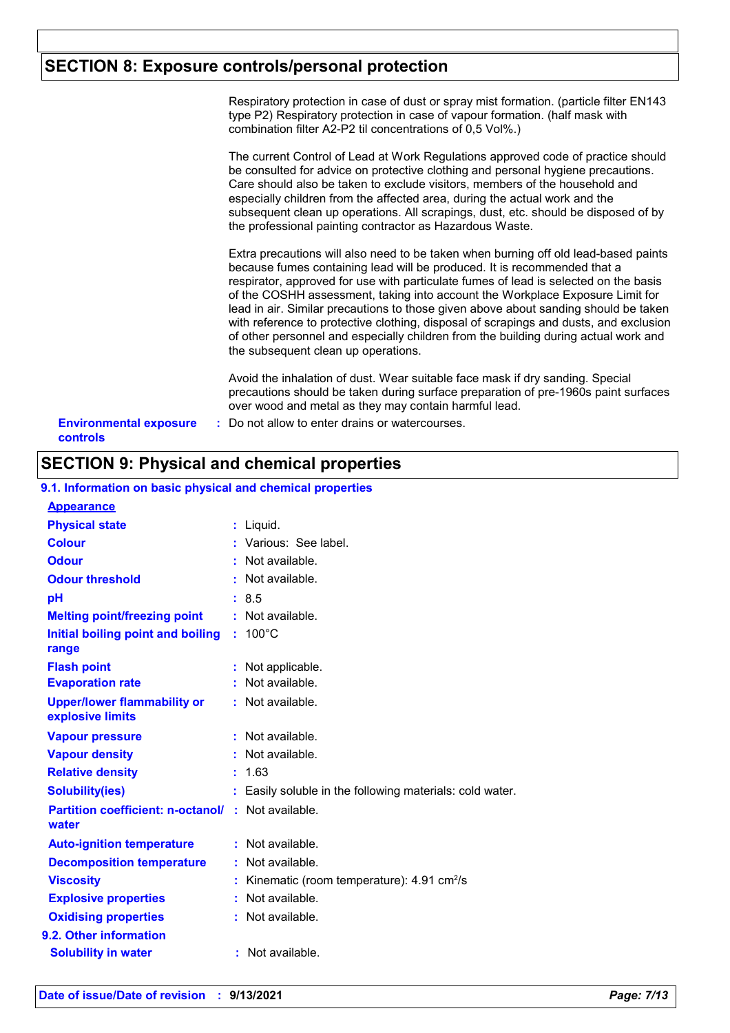# **SECTION 8: Exposure controls/personal protection**

Respiratory protection in case of dust or spray mist formation. (particle filter EN143 type P2) Respiratory protection in case of vapour formation. (half mask with combination filter A2-P2 til concentrations of 0,5 Vol%.)

The current Control of Lead at Work Regulations approved code of practice should be consulted for advice on protective clothing and personal hygiene precautions. Care should also be taken to exclude visitors, members of the household and especially children from the affected area, during the actual work and the subsequent clean up operations. All scrapings, dust, etc. should be disposed of by the professional painting contractor as Hazardous Waste.

Extra precautions will also need to be taken when burning off old lead-based paints because fumes containing lead will be produced. It is recommended that a respirator, approved for use with particulate fumes of lead is selected on the basis of the COSHH assessment, taking into account the Workplace Exposure Limit for lead in air. Similar precautions to those given above about sanding should be taken with reference to protective clothing, disposal of scrapings and dusts, and exclusion of other personnel and especially children from the building during actual work and the subsequent clean up operations.

Avoid the inhalation of dust. Wear suitable face mask if dry sanding. Special precautions should be taken during surface preparation of pre-1960s paint surfaces over wood and metal as they may contain harmful lead.

**Environmental exposure : Do not allow to enter drains or watercourses. controls**

# **SECTION 9: Physical and chemical properties**

#### **9.1. Information on basic physical and chemical properties**

| <b>Appearance</b>                                      |                                                            |  |
|--------------------------------------------------------|------------------------------------------------------------|--|
| <b>Physical state</b>                                  | $:$ Liquid.                                                |  |
| <b>Colour</b>                                          | : Various: See label.                                      |  |
| <b>Odour</b>                                           | : Not available.                                           |  |
| <b>Odour threshold</b>                                 | $\cdot$ Not available.                                     |  |
| pH                                                     | : 8.5                                                      |  |
| <b>Melting point/freezing point</b>                    | $:$ Not available.                                         |  |
| Initial boiling point and boiling<br>range             | $: 100^{\circ}$ C                                          |  |
| <b>Flash point</b>                                     | : Not applicable.                                          |  |
| <b>Evaporation rate</b>                                | : Not available.                                           |  |
| <b>Upper/lower flammability or</b><br>explosive limits | $:$ Not available.                                         |  |
| <b>Vapour pressure</b>                                 | : Not available.                                           |  |
| <b>Vapour density</b>                                  | : Not available.                                           |  |
| <b>Relative density</b>                                | 1.63                                                       |  |
| <b>Solubility(ies)</b>                                 | Easily soluble in the following materials: cold water.     |  |
| <b>Partition coefficient: n-octanol/ :</b><br>water    | Not available.                                             |  |
| <b>Auto-ignition temperature</b>                       | : Not available.                                           |  |
| <b>Decomposition temperature</b>                       | Not available.                                             |  |
| <b>Viscosity</b>                                       | Kinematic (room temperature): $4.91 \text{ cm}^2/\text{s}$ |  |
| <b>Explosive properties</b>                            | Not available.                                             |  |
| <b>Oxidising properties</b>                            | Not available.                                             |  |
| 9.2. Other information                                 |                                                            |  |
| <b>Solubility in water</b>                             | : Not available.                                           |  |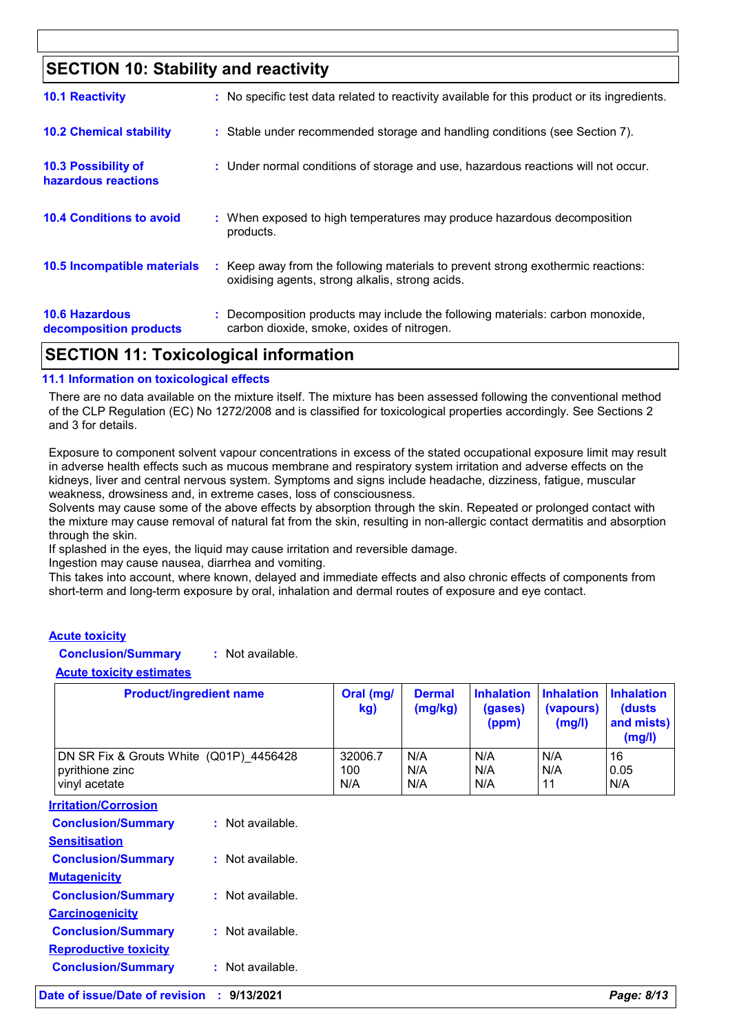# **SECTION 10: Stability and reactivity**

| <b>10.6 Hazardous</b><br>decomposition products | : Decomposition products may include the following materials: carbon monoxide,<br>carbon dioxide, smoke, oxides of nitrogen.        |
|-------------------------------------------------|-------------------------------------------------------------------------------------------------------------------------------------|
| 10.5 Incompatible materials                     | : Keep away from the following materials to prevent strong exothermic reactions:<br>oxidising agents, strong alkalis, strong acids. |
| <b>10.4 Conditions to avoid</b>                 | : When exposed to high temperatures may produce hazardous decomposition<br>products.                                                |
| 10.3 Possibility of<br>hazardous reactions      | : Under normal conditions of storage and use, hazardous reactions will not occur.                                                   |
| <b>10.2 Chemical stability</b>                  | : Stable under recommended storage and handling conditions (see Section 7).                                                         |
| <b>10.1 Reactivity</b>                          | : No specific test data related to reactivity available for this product or its ingredients.                                        |

# **SECTION 11: Toxicological information**

## **11.1 Information on toxicological effects**

There are no data available on the mixture itself. The mixture has been assessed following the conventional method of the CLP Regulation (EC) No 1272/2008 and is classified for toxicological properties accordingly. See Sections 2 and 3 for details.

Exposure to component solvent vapour concentrations in excess of the stated occupational exposure limit may result in adverse health effects such as mucous membrane and respiratory system irritation and adverse effects on the kidneys, liver and central nervous system. Symptoms and signs include headache, dizziness, fatigue, muscular weakness, drowsiness and, in extreme cases, loss of consciousness.

Solvents may cause some of the above effects by absorption through the skin. Repeated or prolonged contact with the mixture may cause removal of natural fat from the skin, resulting in non-allergic contact dermatitis and absorption through the skin.

If splashed in the eyes, the liquid may cause irritation and reversible damage.

Ingestion may cause nausea, diarrhea and vomiting.

This takes into account, where known, delayed and immediate effects and also chronic effects of components from short-term and long-term exposure by oral, inhalation and dermal routes of exposure and eye contact.

#### **Acute toxicity**

**Conclusion/Summary :** Not available.

**Acute toxicity estimates**

| <b>Product/ingredient name</b>          | Oral (mg/<br>kg) | <b>Dermal</b><br>(mg/kg) | <b>Inhalation</b><br>(gases)<br>(ppm) | <b>Inhalation</b><br>(vapours)<br>(mg/l) | <b>Inhalation</b><br>(dusts<br>and mists)<br>(mg/l) |
|-----------------------------------------|------------------|--------------------------|---------------------------------------|------------------------------------------|-----------------------------------------------------|
| DN SR Fix & Grouts White (Q01P) 4456428 | 32006.7          | N/A                      | N/A                                   | N/A                                      | 16                                                  |
| pyrithione zinc                         | 100              | N/A                      | N/A                                   | N/A                                      | 0.05                                                |
| vinyl acetate                           | N/A              | N/A                      | N/A                                   | 11                                       | N/A                                                 |

| <b>Irritation/Corrosion</b>  |                      |
|------------------------------|----------------------|
| <b>Conclusion/Summary</b>    | Not available<br>٠.  |
| <b>Sensitisation</b>         |                      |
| <b>Conclusion/Summary</b>    | Not available.       |
| <b>Mutagenicity</b>          |                      |
| <b>Conclusion/Summary</b>    | Not available.       |
| <b>Carcinogenicity</b>       |                      |
| <b>Conclusion/Summary</b>    | Not available.<br>٠. |
| <b>Reproductive toxicity</b> |                      |
| <b>Conclusion/Summary</b>    | Not available.       |
|                              |                      |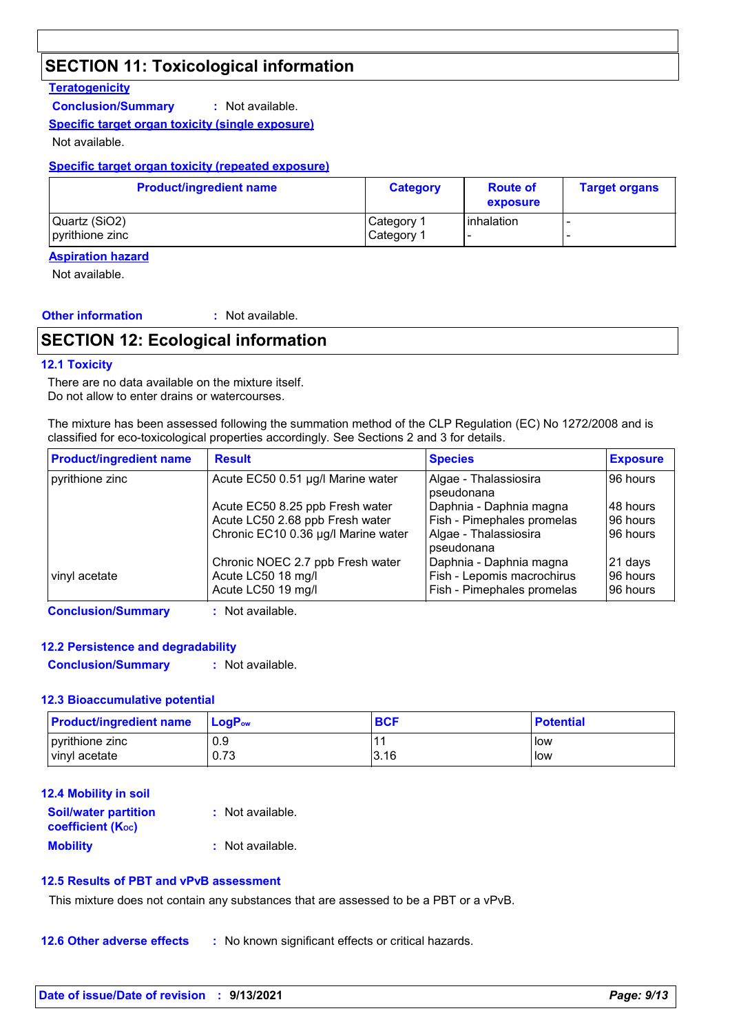# **SECTION 11: Toxicological information**

# **Teratogenicity**

**Conclusion/Summary :** Not available.

## **Specific target organ toxicity (single exposure)**

Not available.

## **Specific target organ toxicity (repeated exposure)**

| <b>Product/ingredient name</b>   | <b>Category</b>          | <b>Route of</b><br>exposure | <b>Target organs</b> |
|----------------------------------|--------------------------|-----------------------------|----------------------|
| Quartz (SiO2)<br>pyrithione zinc | Category 1<br>Category 1 | l inhalation                |                      |

## **Aspiration hazard**

Not available.

# **Other information :**

: Not available.

# **SECTION 12: Ecological information**

## **12.1 Toxicity**

There are no data available on the mixture itself. Do not allow to enter drains or watercourses.

The mixture has been assessed following the summation method of the CLP Regulation (EC) No 1272/2008 and is classified for eco-toxicological properties accordingly. See Sections 2 and 3 for details.

| <b>Product/ingredient name</b> | <b>Result</b>                       | <b>Species</b>                      | <b>Exposure</b> |
|--------------------------------|-------------------------------------|-------------------------------------|-----------------|
| pyrithione zinc                | Acute EC50 0.51 µg/l Marine water   | Algae - Thalassiosira<br>pseudonana | 96 hours        |
|                                | Acute EC50 8.25 ppb Fresh water     | Daphnia - Daphnia magna             | 48 hours        |
|                                | Acute LC50 2.68 ppb Fresh water     | Fish - Pimephales promelas          | 96 hours        |
|                                | Chronic EC10 0.36 µg/l Marine water | Algae - Thalassiosira<br>pseudonana | 96 hours        |
|                                | Chronic NOEC 2.7 ppb Fresh water    | Daphnia - Daphnia magna             | $ 21$ days      |
| vinyl acetate                  | Acute LC50 18 mg/l                  | Fish - Lepomis macrochirus          | 96 hours        |
|                                | Acute LC50 19 mg/l                  | Fish - Pimephales promelas          | 96 hours        |

**Conclusion/Summary :** Not available.

## **12.2 Persistence and degradability**

**Conclusion/Summary :** Not available.

## **12.3 Bioaccumulative potential**

| <b>Product/ingredient name</b> | $\mathsf{LocP}_\mathsf{ow}$ | <b>BCF</b> | <b>Potential</b> |
|--------------------------------|-----------------------------|------------|------------------|
| pyrithione zinc                | 0.9                         |            | low              |
| vinyl acetate                  | 0.73                        | 3.16       | low              |

## **12.4 Mobility in soil**

| <b>Soil/water partition</b><br><b>coefficient (Koc)</b> | : Not available. |
|---------------------------------------------------------|------------------|
| <b>Mobility</b>                                         | : Not available. |

## **12.5 Results of PBT and vPvB assessment**

This mixture does not contain any substances that are assessed to be a PBT or a vPvB.

**12.6 Other adverse effects** : No known significant effects or critical hazards.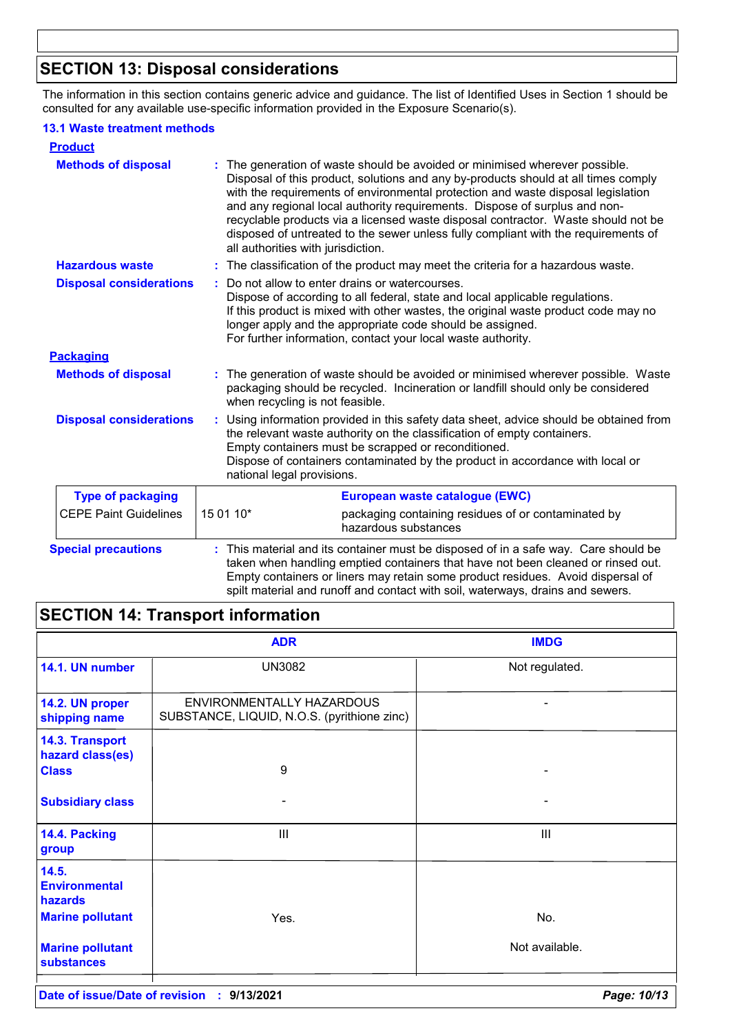# **SECTION 13: Disposal considerations**

The information in this section contains generic advice and guidance. The list of Identified Uses in Section 1 should be consulted for any available use-specific information provided in the Exposure Scenario(s).

# **13.1 Waste treatment methods**

| <b>Product</b>                 |                                    |                                                                                                                                                                                                                                                                                                                                                                                                                                                                                                              |  |
|--------------------------------|------------------------------------|--------------------------------------------------------------------------------------------------------------------------------------------------------------------------------------------------------------------------------------------------------------------------------------------------------------------------------------------------------------------------------------------------------------------------------------------------------------------------------------------------------------|--|
| <b>Methods of disposal</b>     | all authorities with jurisdiction. | The generation of waste should be avoided or minimised wherever possible.<br>Disposal of this product, solutions and any by-products should at all times comply<br>with the requirements of environmental protection and waste disposal legislation<br>and any regional local authority requirements. Dispose of surplus and non-<br>recyclable products via a licensed waste disposal contractor. Waste should not be<br>disposed of untreated to the sewer unless fully compliant with the requirements of |  |
| <b>Hazardous waste</b>         |                                    | : The classification of the product may meet the criteria for a hazardous waste.                                                                                                                                                                                                                                                                                                                                                                                                                             |  |
| <b>Disposal considerations</b> |                                    | Do not allow to enter drains or watercourses.<br>Dispose of according to all federal, state and local applicable regulations.<br>If this product is mixed with other wastes, the original waste product code may no<br>longer apply and the appropriate code should be assigned.<br>For further information, contact your local waste authority.                                                                                                                                                             |  |
| <b>Packaging</b>               |                                    |                                                                                                                                                                                                                                                                                                                                                                                                                                                                                                              |  |
| <b>Methods of disposal</b>     | when recycling is not feasible.    | The generation of waste should be avoided or minimised wherever possible. Waste<br>packaging should be recycled. Incineration or landfill should only be considered                                                                                                                                                                                                                                                                                                                                          |  |
| <b>Disposal considerations</b> | national legal provisions.         | : Using information provided in this safety data sheet, advice should be obtained from<br>the relevant waste authority on the classification of empty containers.<br>Empty containers must be scrapped or reconditioned.<br>Dispose of containers contaminated by the product in accordance with local or                                                                                                                                                                                                    |  |
| <b>Type of packaging</b>       |                                    | European waste catalogue (EWC)                                                                                                                                                                                                                                                                                                                                                                                                                                                                               |  |
| <b>CEPE Paint Guidelines</b>   | 15 01 10*                          | packaging containing residues of or contaminated by<br>hazardous substances                                                                                                                                                                                                                                                                                                                                                                                                                                  |  |
| <b>Special precautions</b>     |                                    | This material and its container must be disposed of in a safe way. Care should be<br>taken when handling emptied containers that have not been cleaned or rinsed out.<br>Empty containers or liners may retain some product residues. Avoid dispersal of<br>spilt material and runoff and contact with soil, waterways, drains and sewers.                                                                                                                                                                   |  |

# **SECTION 14: Transport information**

|                                                     | <b>ADR</b>                                                               | <b>IMDG</b>    |
|-----------------------------------------------------|--------------------------------------------------------------------------|----------------|
| 14.1. UN number                                     | <b>UN3082</b>                                                            | Not regulated. |
| 14.2. UN proper<br>shipping name                    | ENVIRONMENTALLY HAZARDOUS<br>SUBSTANCE, LIQUID, N.O.S. (pyrithione zinc) |                |
| 14.3. Transport<br>hazard class(es)<br><b>Class</b> | 9                                                                        |                |
| <b>Subsidiary class</b>                             | ۰                                                                        | -              |
| 14.4. Packing<br>group                              | Ш                                                                        | III            |
| 14.5.<br><b>Environmental</b><br>hazards            |                                                                          |                |
| <b>Marine pollutant</b>                             | Yes.                                                                     | No.            |
| <b>Marine pollutant</b><br><b>substances</b>        |                                                                          | Not available. |
|                                                     |                                                                          |                |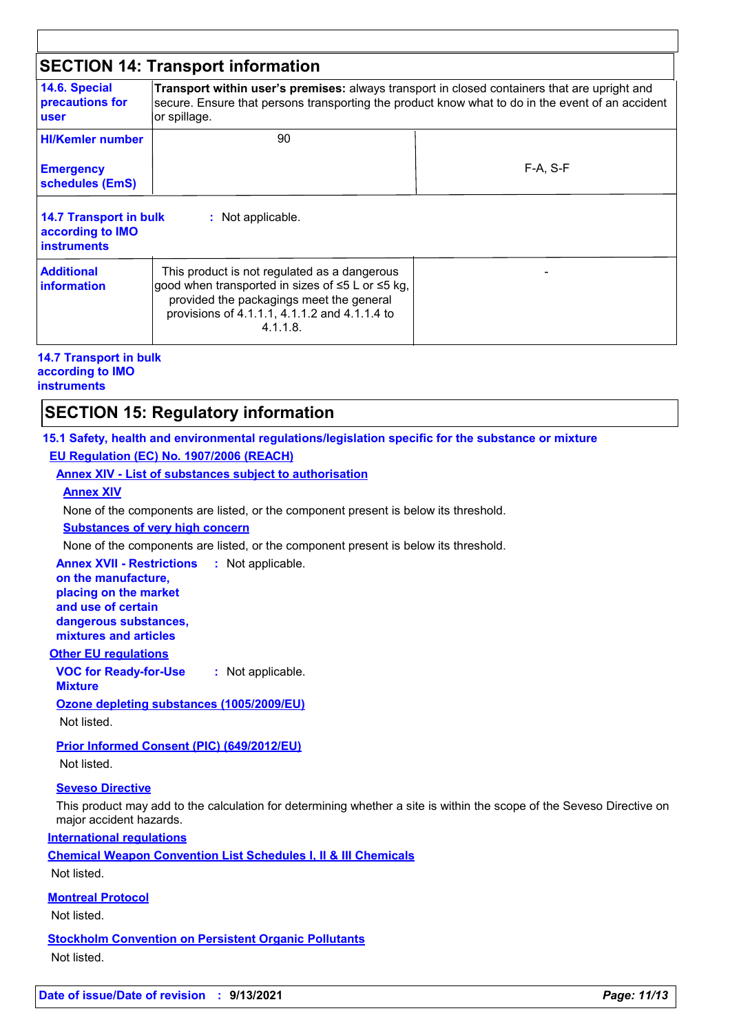|                                                                         | <b>SECTION 14: Transport information</b>                                                                                                                                                                         |            |
|-------------------------------------------------------------------------|------------------------------------------------------------------------------------------------------------------------------------------------------------------------------------------------------------------|------------|
| 14.6. Special<br>precautions for<br>user                                | Transport within user's premises: always transport in closed containers that are upright and<br>secure. Ensure that persons transporting the product know what to do in the event of an accident<br>or spillage. |            |
| <b>HI/Kemler number</b>                                                 | 90                                                                                                                                                                                                               |            |
| <b>Emergency</b><br>schedules (EmS)                                     |                                                                                                                                                                                                                  | $F-A. S-F$ |
| <b>14.7 Transport in bulk</b><br>according to IMO<br><b>instruments</b> | : Not applicable.                                                                                                                                                                                                |            |
| <b>Additional</b><br>information                                        | This product is not regulated as a dangerous<br>good when transported in sizes of ≤5 L or ≤5 kg,<br>provided the packagings meet the general<br>provisions of 4.1.1.1, 4.1.1.2 and 4.1.1.4 to<br>$4.1.1.8$ .     |            |

# **14.7 Transport in bulk according to IMO**

# **instruments**

# **SECTION 15: Regulatory information**

## **15.1 Safety, health and environmental regulations/legislation specific for the substance or mixture**

## **EU Regulation (EC) No. 1907/2006 (REACH)**

**Annex XIV - List of substances subject to authorisation**

## **Annex XIV**

None of the components are listed, or the component present is below its threshold.

#### **Substances of very high concern**

None of the components are listed, or the component present is below its threshold.

**Annex XVII - Restrictions on the manufacture,** : Not applicable.

**placing on the market and use of certain dangerous substances, mixtures and articles**

## **Other EU regulations**

**VOC for Ready-for-Use :** Not applicable.

**Mixture**

# **Ozone depleting substances (1005/2009/EU)**

Not listed.

**Prior Informed Consent (PIC) (649/2012/EU)**

Not listed.

## **Seveso Directive**

This product may add to the calculation for determining whether a site is within the scope of the Seveso Directive on major accident hazards.

**International regulations**

**Chemical Weapon Convention List Schedules I, II & III Chemicals**

Not listed.

**Montreal Protocol**

Not listed.

**Stockholm Convention on Persistent Organic Pollutants** Not listed.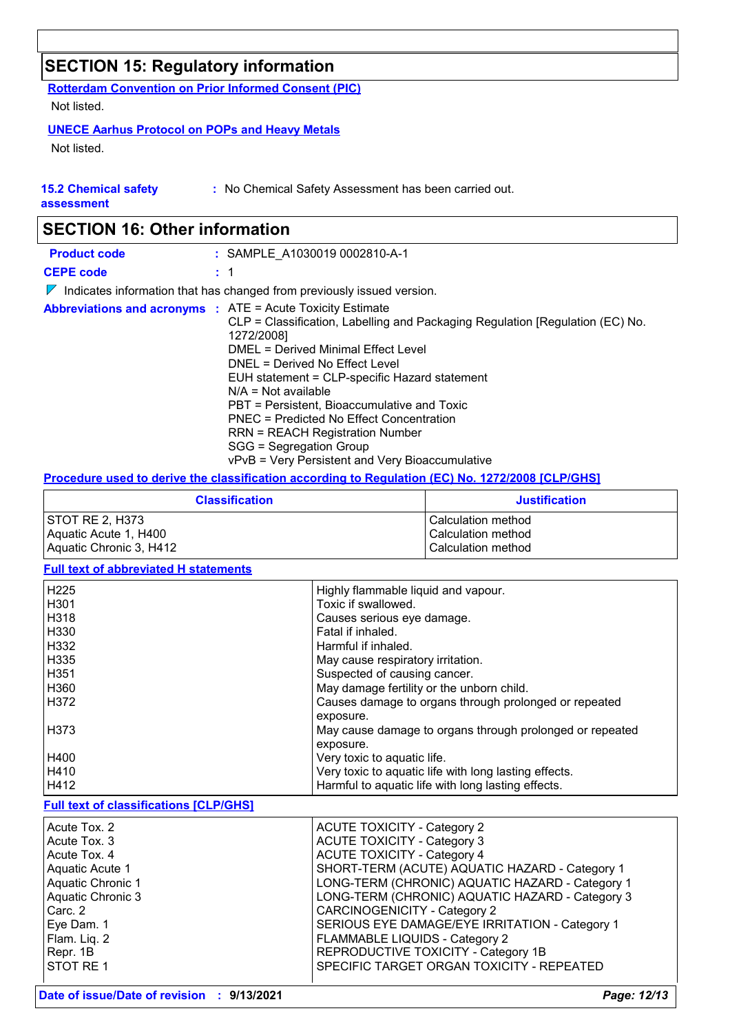# **SECTION 15: Regulatory information**

**Rotterdam Convention on Prior Informed Consent (PIC)** Not listed.

# **UNECE Aarhus Protocol on POPs and Heavy Metals**

Not listed.

|  | <b>15.2 Chemical safety</b> |  |
|--|-----------------------------|--|
|  |                             |  |

**:** No Chemical Safety Assessment has been carried out.

**assessment**

| <b>SECTION 16: Other information</b> |  |                                                                                                                                                                                                                                                                                                                                                                                                                                                                                                                                 |
|--------------------------------------|--|---------------------------------------------------------------------------------------------------------------------------------------------------------------------------------------------------------------------------------------------------------------------------------------------------------------------------------------------------------------------------------------------------------------------------------------------------------------------------------------------------------------------------------|
| <b>Product code</b>                  |  | : SAMPLE A1030019 0002810-A-1                                                                                                                                                                                                                                                                                                                                                                                                                                                                                                   |
| <b>CEPE code</b>                     |  | : 1                                                                                                                                                                                                                                                                                                                                                                                                                                                                                                                             |
| $\mathbb{Z}$                         |  | Indicates information that has changed from previously issued version.                                                                                                                                                                                                                                                                                                                                                                                                                                                          |
|                                      |  | <b>Abbreviations and acronyms : ATE = Acute Toxicity Estimate</b><br>CLP = Classification, Labelling and Packaging Regulation [Regulation (EC) No.<br>1272/2008]<br>DMEL = Derived Minimal Effect Level<br>DNEL = Derived No Effect Level<br>EUH statement = CLP-specific Hazard statement<br>$N/A = Not available$<br>PBT = Persistent, Bioaccumulative and Toxic<br>PNEC = Predicted No Effect Concentration<br>RRN = REACH Registration Number<br>SGG = Segregation Group<br>vPvB = Very Persistent and Very Bioaccumulative |

## **Procedure used to derive the classification according to Regulation (EC) No. 1272/2008 [CLP/GHS]**

| <b>Classification</b>   | <b>Justification</b> |
|-------------------------|----------------------|
| STOT RE 2, H373         | l Calculation method |
| Aquatic Acute 1, H400   | Calculation method   |
| Aquatic Chronic 3, H412 | Calculation method   |

# **Full text of abbreviated H statements**

| H <sub>225</sub> | Highly flammable liquid and vapour.                      |
|------------------|----------------------------------------------------------|
| H <sub>301</sub> | Toxic if swallowed.                                      |
| H318             | Causes serious eye damage.                               |
| H330             | Fatal if inhaled.                                        |
| H332             | Harmful if inhaled.                                      |
| H335             | May cause respiratory irritation.                        |
| H351             | Suspected of causing cancer.                             |
| H360             | May damage fertility or the unborn child.                |
| H372             | Causes damage to organs through prolonged or repeated    |
|                  | exposure.                                                |
| H373             | May cause damage to organs through prolonged or repeated |
|                  | exposure.                                                |
| H400             | Very toxic to aquatic life.                              |
| H410             | Very toxic to aquatic life with long lasting effects.    |
| H412             | Harmful to aquatic life with long lasting effects.       |

## **Full text of classifications [CLP/GHS]**

| Acute Tox. 2      | <b>ACUTE TOXICITY - Category 2</b>              |
|-------------------|-------------------------------------------------|
| Acute Tox, 3      | <b>ACUTE TOXICITY - Category 3</b>              |
| Acute Tox, 4      | <b>ACUTE TOXICITY - Category 4</b>              |
| Aquatic Acute 1   | SHORT-TERM (ACUTE) AQUATIC HAZARD - Category 1  |
| Aquatic Chronic 1 | LONG-TERM (CHRONIC) AQUATIC HAZARD - Category 1 |
| Aquatic Chronic 3 | LONG-TERM (CHRONIC) AQUATIC HAZARD - Category 3 |
| Carc. 2           | <b>CARCINOGENICITY - Category 2</b>             |
| Eye Dam. 1        | SERIOUS EYE DAMAGE/EYE IRRITATION - Category 1  |
| Flam. Liq. 2      | FLAMMABLE LIQUIDS - Category 2                  |
|                   |                                                 |
| Repr. 1B          | REPRODUCTIVE TOXICITY - Category 1B             |
| <b>STOT RE1</b>   | SPECIFIC TARGET ORGAN TOXICITY - REPEATED       |